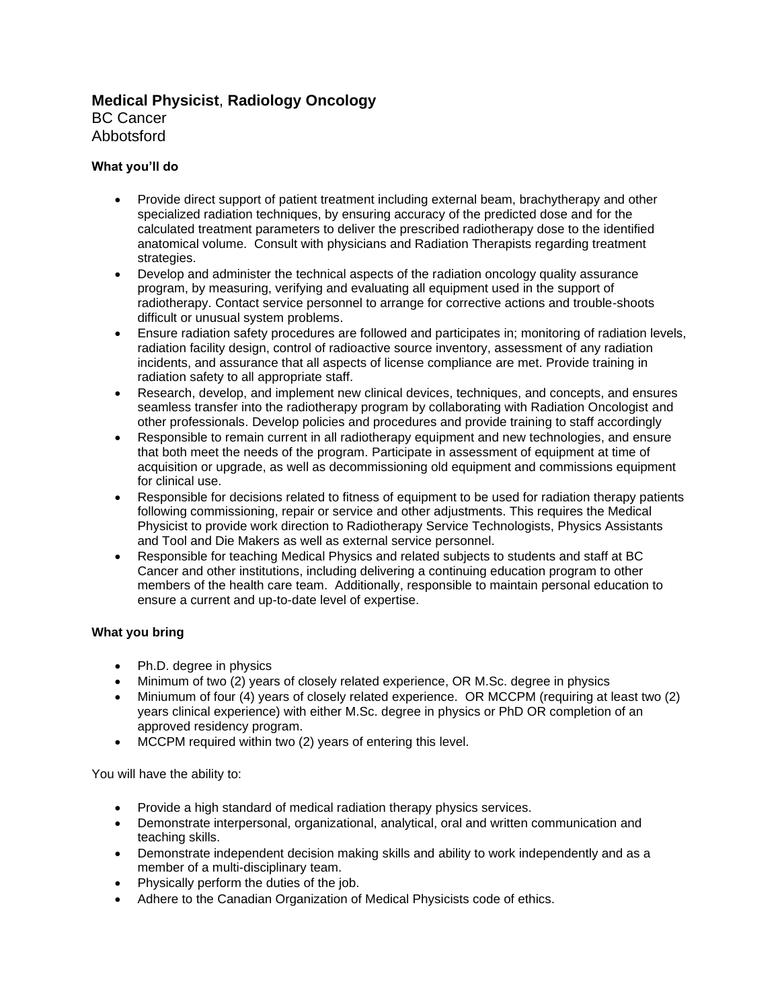# **Medical Physicist**, **Radiology Oncology**

BC Cancer Abbotsford

# **What you'll do**

- Provide direct support of patient treatment including external beam, brachytherapy and other specialized radiation techniques, by ensuring accuracy of the predicted dose and for the calculated treatment parameters to deliver the prescribed radiotherapy dose to the identified anatomical volume. Consult with physicians and Radiation Therapists regarding treatment strategies.
- Develop and administer the technical aspects of the radiation oncology quality assurance program, by measuring, verifying and evaluating all equipment used in the support of radiotherapy. Contact service personnel to arrange for corrective actions and trouble-shoots difficult or unusual system problems.
- Ensure radiation safety procedures are followed and participates in; monitoring of radiation levels, radiation facility design, control of radioactive source inventory, assessment of any radiation incidents, and assurance that all aspects of license compliance are met. Provide training in radiation safety to all appropriate staff.
- Research, develop, and implement new clinical devices, techniques, and concepts, and ensures seamless transfer into the radiotherapy program by collaborating with Radiation Oncologist and other professionals. Develop policies and procedures and provide training to staff accordingly
- Responsible to remain current in all radiotherapy equipment and new technologies, and ensure that both meet the needs of the program. Participate in assessment of equipment at time of acquisition or upgrade, as well as decommissioning old equipment and commissions equipment for clinical use.
- Responsible for decisions related to fitness of equipment to be used for radiation therapy patients following commissioning, repair or service and other adjustments. This requires the Medical Physicist to provide work direction to Radiotherapy Service Technologists, Physics Assistants and Tool and Die Makers as well as external service personnel.
- Responsible for teaching Medical Physics and related subjects to students and staff at BC Cancer and other institutions, including delivering a continuing education program to other members of the health care team. Additionally, responsible to maintain personal education to ensure a current and up-to-date level of expertise.

# **What you bring**

- Ph.D. degree in physics
- Minimum of two (2) years of closely related experience, OR M.Sc. degree in physics
- Miniumum of four (4) years of closely related experience. OR MCCPM (requiring at least two (2) years clinical experience) with either M.Sc. degree in physics or PhD OR completion of an approved residency program.
- MCCPM required within two (2) years of entering this level.

You will have the ability to:

- Provide a high standard of medical radiation therapy physics services.
- Demonstrate interpersonal, organizational, analytical, oral and written communication and teaching skills.
- Demonstrate independent decision making skills and ability to work independently and as a member of a multi-disciplinary team.
- Physically perform the duties of the job.
- Adhere to the Canadian Organization of Medical Physicists code of ethics.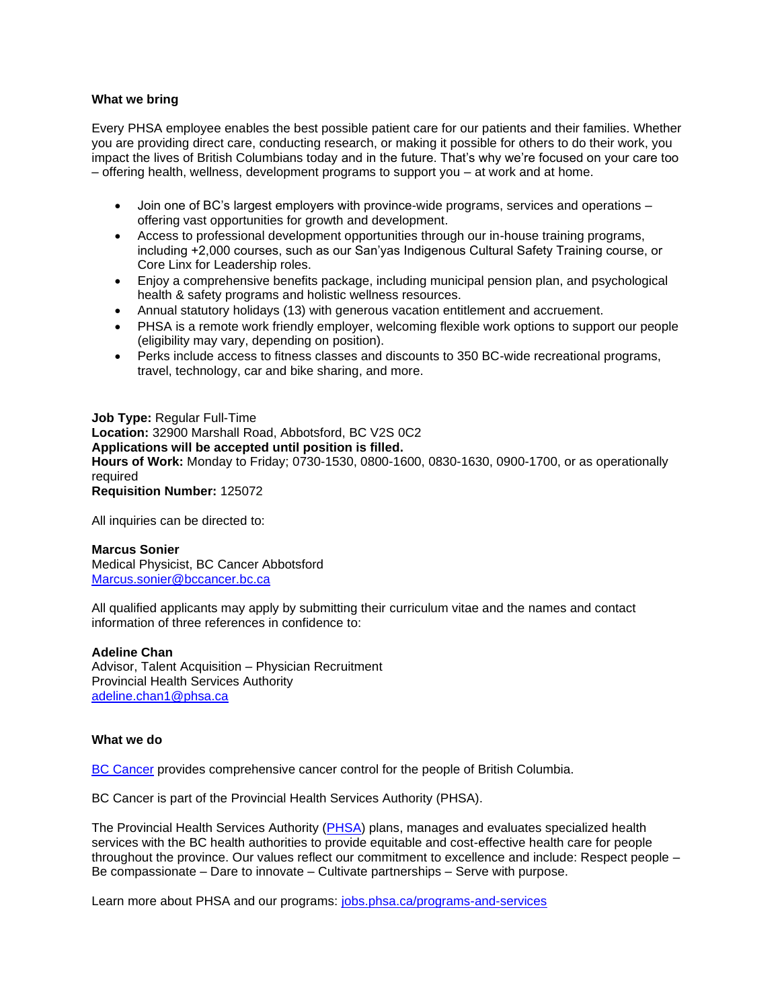### **What we bring**

Every PHSA employee enables the best possible patient care for our patients and their families. Whether you are providing direct care, conducting research, or making it possible for others to do their work, you impact the lives of British Columbians today and in the future. That's why we're focused on your care too – offering health, wellness, development programs to support you – at work and at home.

- Join one of BC's largest employers with province-wide programs, services and operations offering vast opportunities for growth and development.
- Access to professional development opportunities through our in-house training programs, including +2,000 courses, such as our San'yas Indigenous Cultural Safety Training course, or Core Linx for Leadership roles.
- Enjoy a comprehensive benefits package, including municipal pension plan, and psychological health & safety programs and holistic wellness resources.
- Annual statutory holidays (13) with generous vacation entitlement and accruement.
- PHSA is a remote work friendly employer, welcoming flexible work options to support our people (eligibility may vary, depending on position).
- Perks include access to fitness classes and discounts to 350 BC-wide recreational programs, travel, technology, car and bike sharing, and more.

**Job Type:** Regular Full-Time **Location:** 32900 Marshall Road, Abbotsford, BC V2S 0C2 **Applications will be accepted until position is filled. Hours of Work:** Monday to Friday; 0730-1530, 0800-1600, 0830-1630, 0900-1700, or as operationally required **Requisition Number:** 125072

All inquiries can be directed to:

### **Marcus Sonier**

Medical Physicist, BC Cancer Abbotsford [Marcus.sonier@bccancer.bc.ca](mailto:Marcus.sonier@bccancer.bc.ca)

All qualified applicants may apply by submitting their curriculum vitae and the names and contact information of three references in confidence to:

#### **Adeline Chan**

Advisor, Talent Acquisition – Physician Recruitment Provincial Health Services Authority [adeline.chan1@phsa.ca](mailto:kevin.wang@phsa.ca)

#### **What we do**

[BC Cancer](http://www.bccancer.bc.ca/) provides comprehensive cancer control for the people of British Columbia.

BC Cancer is part of the Provincial Health Services Authority (PHSA).

The Provincial Health Services Authority [\(PHSA\)](http://www.phsa.ca/) plans, manages and evaluates specialized health services with the BC health authorities to provide equitable and cost-effective health care for people throughout the province. Our values reflect our commitment to excellence and include: Respect people – Be compassionate – Dare to innovate – Cultivate partnerships – Serve with purpose.

Learn more about PHSA and our programs: [jobs.phsa.ca/programs-and-services](https://jobs.phsa.ca/programs-and-services)